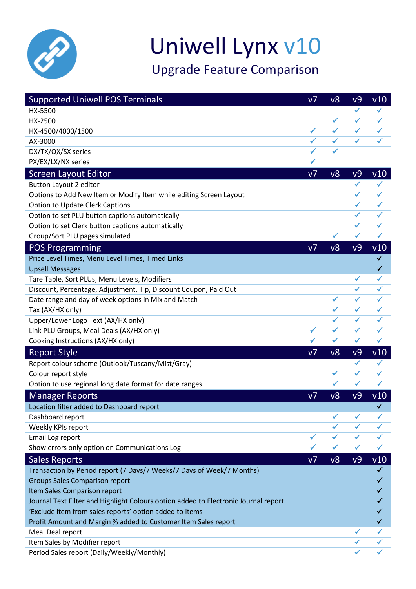

## Uniwell Lynx v10

Upgrade Feature Comparison

| <b>Supported Uniwell POS Terminals</b>                                              | V <sub>7</sub> | v8           | v9             | v10          |
|-------------------------------------------------------------------------------------|----------------|--------------|----------------|--------------|
| HX-5500                                                                             |                |              | $\checkmark$   | $\checkmark$ |
| HX-2500                                                                             |                | $\checkmark$ | $\checkmark$   | ✓            |
| HX-4500/4000/1500                                                                   | ✓              | ✓            | ✓              |              |
| AX-3000                                                                             | ✓              | $\checkmark$ | $\checkmark$   |              |
| DX/TX/QX/SX series                                                                  | ✓              |              |                |              |
| PX/EX/LX/NX series                                                                  |                |              |                |              |
| <b>Screen Layout Editor</b>                                                         | V <sub>1</sub> | v8           | v9             | v10          |
| <b>Button Layout 2 editor</b>                                                       |                |              | $\checkmark$   | ✓            |
| Options to Add New Item or Modify Item while editing Screen Layout                  |                |              | ✔              | ✓            |
| Option to Update Clerk Captions                                                     |                |              | $\checkmark$   | ✓            |
| Option to set PLU button captions automatically                                     |                |              | $\checkmark$   | ✓            |
| Option to set Clerk button captions automatically                                   |                |              | $\checkmark$   | ✓            |
| Group/Sort PLU pages simulated                                                      |                | $\checkmark$ | $\checkmark$   | $\checkmark$ |
| <b>POS Programming</b>                                                              | V <sub>7</sub> | v8           | v9             | V10          |
| Price Level Times, Menu Level Times, Timed Links                                    |                |              |                | $\checkmark$ |
| <b>Upsell Messages</b>                                                              |                |              |                | $\checkmark$ |
| Tare Table, Sort PLUs, Menu Levels, Modifiers                                       |                |              | $\checkmark$   | $\checkmark$ |
| Discount, Percentage, Adjustment, Tip, Discount Coupon, Paid Out                    |                |              | $\checkmark$   | ✓            |
| Date range and day of week options in Mix and Match                                 |                | $\checkmark$ | ✓              | ✔            |
| Tax (AX/HX only)                                                                    |                | $\checkmark$ | $\checkmark$   | ✓            |
| Upper/Lower Logo Text (AX/HX only)                                                  |                | ✓            | $\checkmark$   | ✓            |
| Link PLU Groups, Meal Deals (AX/HX only)                                            | $\checkmark$   | $\checkmark$ | $\checkmark$   | $\checkmark$ |
| Cooking Instructions (AX/HX only)                                                   |                | $\checkmark$ | $\checkmark$   | ✓            |
| <b>Report Style</b>                                                                 | V <sub>7</sub> | v8           | v9             | v10          |
| Report colour scheme (Outlook/Tuscany/Mist/Gray)                                    |                |              | ✓              | ✓            |
| Colour report style                                                                 |                | ✓            | ✓              |              |
| Option to use regional long date format for date ranges                             |                | $\checkmark$ | ✔              | ✓            |
| <b>Manager Reports</b>                                                              | V <sub>7</sub> | v8           | V <sup>9</sup> | v10          |
| Location filter added to Dashboard report                                           |                |              |                | V            |
| Dashboard report                                                                    |                | ✓            | ✓              | ✓            |
| Weekly KPIs report                                                                  |                |              |                |              |
| Email Log report                                                                    | ✔              | ✓            | ✓              | ✔            |
| Show errors only option on Communications Log                                       |                | $\checkmark$ | ✓              | $\checkmark$ |
| <b>Sales Reports</b>                                                                | V <sub>7</sub> | v8           | v9             | v10          |
| Transaction by Period report (7 Days/7 Weeks/7 Days of Week/7 Months)               |                |              |                |              |
| <b>Groups Sales Comparison report</b>                                               |                |              |                |              |
| Item Sales Comparison report                                                        |                |              |                |              |
| Journal Text Filter and Highlight Colours option added to Electronic Journal report |                |              |                |              |
| 'Exclude item from sales reports' option added to Items                             |                |              |                |              |
| Profit Amount and Margin % added to Customer Item Sales report                      |                |              |                | $\checkmark$ |
| Meal Deal report                                                                    |                |              | $\checkmark$   | ✔            |
| Item Sales by Modifier report                                                       |                |              |                |              |
| Period Sales report (Daily/Weekly/Monthly)                                          |                |              |                |              |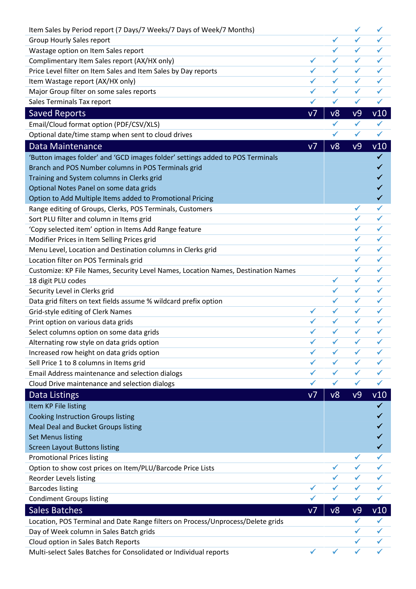| Item Sales by Period report (7 Days/7 Weeks/7 Days of Week/7 Months)              |                |              | $\checkmark$ | $\checkmark$ |
|-----------------------------------------------------------------------------------|----------------|--------------|--------------|--------------|
| Group Hourly Sales report                                                         |                | ✔            | ✔            |              |
| Wastage option on Item Sales report                                               |                | $\checkmark$ | $\checkmark$ | ✓            |
| Complimentary Item Sales report (AX/HX only)                                      | ✔              | ✓            | ✓            | ✓            |
| Price Level filter on Item Sales and Item Sales by Day reports                    | $\checkmark$   | $\checkmark$ | $\checkmark$ | $\checkmark$ |
| Item Wastage report (AX/HX only)                                                  | ✓              | $\checkmark$ | $\checkmark$ | ✓            |
| Major Group filter on some sales reports                                          | ✓              | $\checkmark$ | ✓            | ✓            |
| Sales Terminals Tax report                                                        | ✔              | $\checkmark$ | $\checkmark$ | $\checkmark$ |
| <b>Saved Reports</b>                                                              | V <sub>7</sub> | v8           | v9           | v10          |
| Email/Cloud format option (PDF/CSV/XLS)                                           |                | ✓            | ✓            | ✓            |
| Optional date/time stamp when sent to cloud drives                                |                | $\checkmark$ | $\checkmark$ | $\checkmark$ |
| Data Maintenance                                                                  | V <sub>7</sub> | v8           | v9           | v10          |
| 'Button images folder' and 'GCD images folder' settings added to POS Terminals    |                |              |              | ✓            |
| Branch and POS Number columns in POS Terminals grid                               |                |              |              | ✓            |
| Training and System columns in Clerks grid                                        |                |              |              | ✓            |
| Optional Notes Panel on some data grids                                           |                |              |              | ✓            |
| Option to Add Multiple Items added to Promotional Pricing                         |                |              |              | $\checkmark$ |
| Range editing of Groups, Clerks, POS Terminals, Customers                         |                |              | ✔            | ✔            |
| Sort PLU filter and column in Items grid                                          |                |              | $\checkmark$ | ✓            |
| 'Copy selected item' option in Items Add Range feature                            |                |              | ✓            | ✓            |
| Modifier Prices in Item Selling Prices grid                                       |                |              | $\checkmark$ | $\checkmark$ |
| Menu Level, Location and Destination columns in Clerks grid                       |                |              |              | ✓            |
| Location filter on POS Terminals grid                                             |                |              | ✓            | ✓            |
| Customize: KP File Names, Security Level Names, Location Names, Destination Names |                |              | $\checkmark$ | ✓            |
| 18 digit PLU codes                                                                |                | $\checkmark$ | $\checkmark$ | $\checkmark$ |
| Security Level in Clerks grid                                                     |                | ✓            | $\checkmark$ | ✓            |
| Data grid filters on text fields assume % wildcard prefix option                  |                | ✓            | ✓            | ✓            |
| Grid-style editing of Clerk Names                                                 | $\checkmark$   | $\checkmark$ | $\checkmark$ | ✓            |
| Print option on various data grids                                                | ✓              | ✓            | $\checkmark$ | ✓            |
| Select columns option on some data grids                                          |                |              |              |              |
| Alternating row style on data grids option                                        | ✔              |              | ✔            | ✔            |
| Increased row height on data grids option                                         |                | $\checkmark$ | $\checkmark$ | ✓            |
| Sell Price 1 to 8 columns in Items grid                                           | ✔              | ✓            | ✓            | ✓            |
| Email Address maintenance and selection dialogs                                   | ✓              | ✓            | ✓            | ✓            |
| Cloud Drive maintenance and selection dialogs                                     | ✓              | ✓            | $\checkmark$ | $\checkmark$ |
| <b>Data Listings</b>                                                              | ν7             | v8           | v9           | v10          |
| Item KP File listing                                                              |                |              |              | ✓            |
| <b>Cooking Instruction Groups listing</b>                                         |                |              |              |              |
| Meal Deal and Bucket Groups listing                                               |                |              |              |              |
| <b>Set Menus listing</b>                                                          |                |              |              |              |
| <b>Screen Layout Buttons listing</b>                                              |                |              |              |              |
| <b>Promotional Prices listing</b>                                                 |                |              |              |              |
| Option to show cost prices on Item/PLU/Barcode Price Lists                        |                |              |              |              |
| Reorder Levels listing                                                            |                |              |              | ✓            |
| <b>Barcodes listing</b>                                                           | ✓              | ✓            | ✓            | ✓            |
| <b>Condiment Groups listing</b>                                                   |                | ✓            | ✓            | ✔            |
| <b>Sales Batches</b>                                                              | V <sub>7</sub> | v8           | v9           | v10          |
| Location, POS Terminal and Date Range filters on Process/Unprocess/Delete grids   |                |              | ✓            | $\checkmark$ |
| Day of Week column in Sales Batch grids                                           |                |              | ✓            | ✓            |
| Cloud option in Sales Batch Reports                                               |                |              |              |              |
| Multi-select Sales Batches for Consolidated or Individual reports                 |                | $\checkmark$ | $\checkmark$ |              |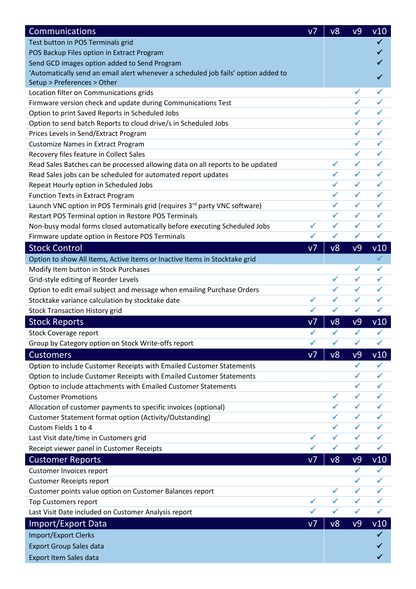| Communications                                                                     | V <sub>7</sub> | v8           | v9              | v10          |
|------------------------------------------------------------------------------------|----------------|--------------|-----------------|--------------|
| Test button in POS Terminals grid                                                  |                |              |                 |              |
| POS Backup Files option in Extract Program                                         |                |              |                 |              |
| Send GCD images option added to Send Program                                       |                |              |                 |              |
| 'Automatically send an email alert whenever a scheduled job fails' option added to |                |              |                 |              |
| Setup > Preferences > Other                                                        |                |              |                 |              |
| Location filter on Communications grids                                            |                |              | ✓               |              |
| Firmware version check and update during Communications Test                       |                |              | ✓               | ✓            |
| Option to print Saved Reports in Scheduled Jobs                                    |                |              | ✔               | $\checkmark$ |
| Option to send batch Reports to cloud drive/s in Scheduled Jobs                    |                |              |                 | ✓            |
| Prices Levels in Send/Extract Program                                              |                |              | ✓               | ✓            |
| <b>Customize Names in Extract Program</b>                                          |                |              | $\checkmark$    | $\checkmark$ |
| Recovery files feature in Collect Sales                                            |                |              | ✓               | ✔            |
| Read Sales Batches can be processed allowing data on all reports to be updated     |                | $\checkmark$ | $\checkmark$    | $\checkmark$ |
| Read Sales jobs can be scheduled for automated report updates                      |                | $\checkmark$ | $\checkmark$    | ✔            |
| Repeat Hourly option in Scheduled Jobs                                             |                | $\checkmark$ | $\checkmark$    | $\checkmark$ |
| <b>Function Texts in Extract Program</b>                                           |                | $\checkmark$ | $\checkmark$    | $\checkmark$ |
| Launch VNC option in POS Terminals grid (requires 3rd party VNC software)          |                | $\checkmark$ | $\checkmark$    | ✔            |
| Restart POS Terminal option in Restore POS Terminals                               |                | $\checkmark$ | $\checkmark$    | ✓            |
| Non-busy modal forms closed automatically before executing Scheduled Jobs          | ✓              | ✓            | ✓               | ✓            |
| Firmware update option in Restore POS Terminals                                    | ✓              | ✓            | ✓               | $\checkmark$ |
| <b>Stock Control</b>                                                               | V <sub>7</sub> | v8           | v9              | v10          |
| Option to show All Items, Active Items or Inactive Items in Stocktake grid         |                |              |                 | $\checkmark$ |
| Modify Item button in Stock Purchases                                              |                |              | ✔               | $\checkmark$ |
| Grid-style editing of Reorder Levels                                               |                | $\checkmark$ | $\checkmark$    | $\checkmark$ |
| Option to edit email subject and message when emailing Purchase Orders             |                | $\checkmark$ | $\checkmark$    | $\checkmark$ |
| Stocktake variance calculation by stocktake date                                   | $\checkmark$   | ✓            | ✓               | ✓            |
| <b>Stock Transaction History grid</b>                                              | $\checkmark$   | $\checkmark$ | $\checkmark$    | $\checkmark$ |
| <b>Stock Reports</b>                                                               | V <sub>7</sub> | v8           | v9              | v10          |
| <b>Stock Coverage report</b>                                                       |                | ✓            | ✓               |              |
| Group by Category option on Stock Write-offs report                                |                | ✓            | ✓               | $\checkmark$ |
| <b>Customers</b>                                                                   | V <sub>7</sub> | v8           | v9              | v10          |
| Option to include Customer Receipts with Emailed Customer Statements               |                |              | $\checkmark$    | $\checkmark$ |
| Option to include Customer Receipts with Emailed Customer Statements               |                |              | ✓               | ✓            |
| Option to include attachments with Emailed Customer Statements                     |                |              | $\checkmark$    | $\checkmark$ |
| <b>Customer Promotions</b>                                                         |                | $\checkmark$ | $\checkmark$    | ✓            |
| Allocation of customer payments to specific invoices (optional)                    |                | $\checkmark$ | $\checkmark$    | ✓            |
| Customer Statement format option (Activity/Outstanding)                            |                | $\checkmark$ | ✓               | $\checkmark$ |
| Custom Fields 1 to 4                                                               |                | $\checkmark$ | $\checkmark$    | $\checkmark$ |
| Last Visit date/time in Customers grid                                             | ✔              | $\checkmark$ | $\checkmark$    | $\checkmark$ |
| Receipt viewer panel in Customer Receipts                                          | ✓              | ✓            | $\checkmark$    | ✓            |
|                                                                                    | V <sub>7</sub> | v8           |                 |              |
| <b>Customer Reports</b><br>Customer Invoices report                                |                |              | v9<br>✓         | v10<br>✓     |
|                                                                                    |                |              | ✓               | ✓            |
| <b>Customer Receipts report</b>                                                    |                | $\checkmark$ | $\checkmark$    | $\checkmark$ |
| Customer points value option on Customer Balances report                           | ✔              | ✓            | $\checkmark$    | ✓            |
| <b>Top Customers report</b>                                                        | ✔              | $\checkmark$ | $\checkmark$    | $\checkmark$ |
| Last Visit Date included on Customer Analysis report                               |                |              |                 |              |
| Import/Export Data                                                                 | V <sub>7</sub> | v8           | $\overline{v}9$ | v10          |
| <b>Import/Export Clerks</b>                                                        |                |              |                 | ✓            |
| <b>Export Group Sales data</b>                                                     |                |              |                 |              |
| <b>Export Item Sales data</b>                                                      |                |              |                 | ✓            |